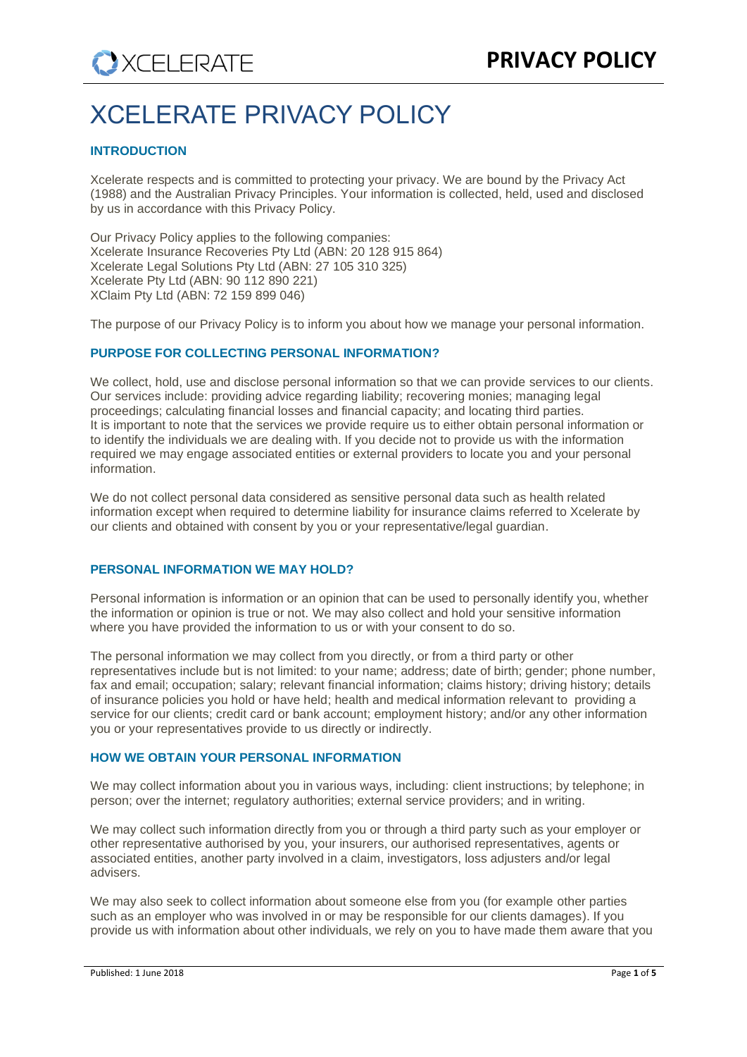# XCELERATE PRIVACY POLICY

# **INTRODUCTION**

Xcelerate respects and is committed to protecting your privacy. We are bound by the Privacy Act (1988) and the Australian Privacy Principles. Your information is collected, held, used and disclosed by us in accordance with this Privacy Policy.

Our Privacy Policy applies to the following companies: Xcelerate Insurance Recoveries Pty Ltd (ABN: 20 128 915 864) Xcelerate Legal Solutions Pty Ltd (ABN: 27 105 310 325) Xcelerate Pty Ltd (ABN: 90 112 890 221) XClaim Pty Ltd (ABN: 72 159 899 046)

The purpose of our Privacy Policy is to inform you about how we manage your personal information.

# **PURPOSE FOR COLLECTING PERSONAL INFORMATION?**

We collect, hold, use and disclose personal information so that we can provide services to our clients. Our services include: providing advice regarding liability; recovering monies; managing legal proceedings; calculating financial losses and financial capacity; and locating third parties. It is important to note that the services we provide require us to either obtain personal information or to identify the individuals we are dealing with. If you decide not to provide us with the information required we may engage associated entities or external providers to locate you and your personal information.

We do not collect personal data considered as sensitive personal data such as health related information except when required to determine liability for insurance claims referred to Xcelerate by our clients and obtained with consent by you or your representative/legal guardian.

# **PERSONAL INFORMATION WE MAY HOLD?**

Personal information is information or an opinion that can be used to personally identify you, whether the information or opinion is true or not. We may also collect and hold your sensitive information where you have provided the information to us or with your consent to do so.

The personal information we may collect from you directly, or from a third party or other representatives include but is not limited: to your name; address; date of birth; gender; phone number, fax and email; occupation; salary; relevant financial information; claims history; driving history; details of insurance policies you hold or have held; health and medical information relevant to providing a service for our clients; credit card or bank account; employment history; and/or any other information you or your representatives provide to us directly or indirectly.

# **HOW WE OBTAIN YOUR PERSONAL INFORMATION**

We may collect information about you in various ways, including: client instructions; by telephone; in person; over the internet; regulatory authorities; external service providers; and in writing.

We may collect such information directly from you or through a third party such as your employer or other representative authorised by you, your insurers, our authorised representatives, agents or associated entities, another party involved in a claim, investigators, loss adjusters and/or legal advisers.

We may also seek to collect information about someone else from you (for example other parties such as an employer who was involved in or may be responsible for our clients damages). If you provide us with information about other individuals, we rely on you to have made them aware that you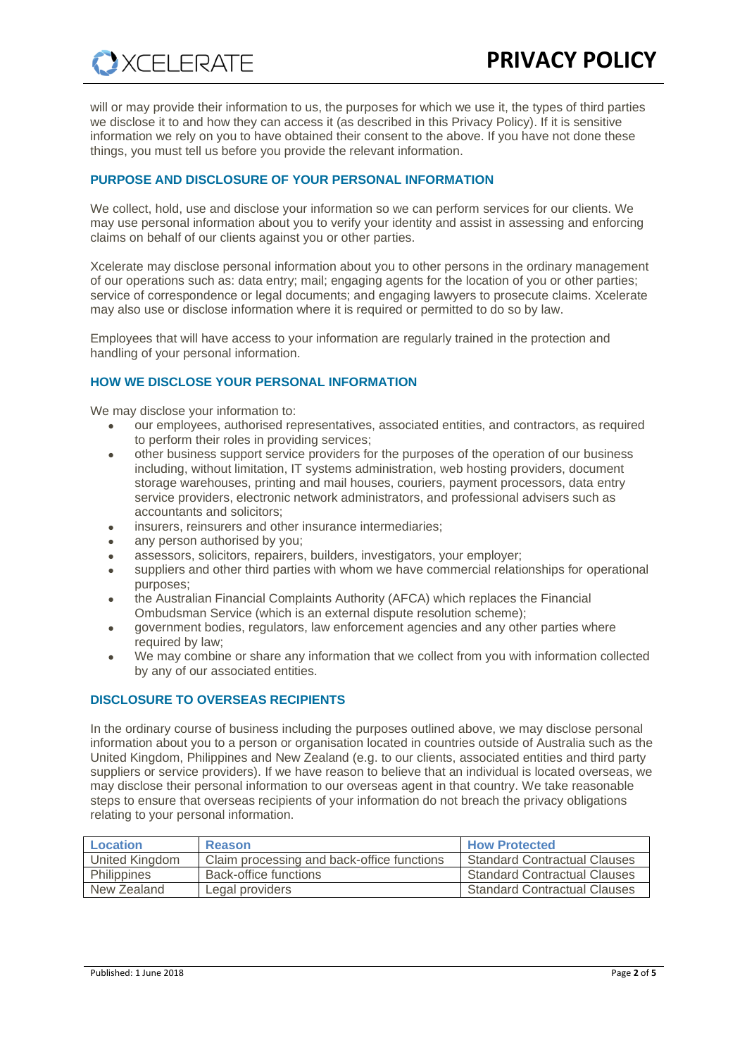will or may provide their information to us, the purposes for which we use it, the types of third parties we disclose it to and how they can access it (as described in this Privacy Policy). If it is sensitive information we rely on you to have obtained their consent to the above. If you have not done these things, you must tell us before you provide the relevant information.

# **PURPOSE AND DISCLOSURE OF YOUR PERSONAL INFORMATION**

We collect, hold, use and disclose your information so we can perform services for our clients. We may use personal information about you to verify your identity and assist in assessing and enforcing claims on behalf of our clients against you or other parties.

Xcelerate may disclose personal information about you to other persons in the ordinary management of our operations such as: data entry; mail; engaging agents for the location of you or other parties; service of correspondence or legal documents; and engaging lawyers to prosecute claims. Xcelerate may also use or disclose information where it is required or permitted to do so by law.

Employees that will have access to your information are regularly trained in the protection and handling of your personal information.

# **HOW WE DISCLOSE YOUR PERSONAL INFORMATION**

We may disclose your information to:

**XCELERATE** 

- our employees, authorised representatives, associated entities, and contractors, as required to perform their roles in providing services;
- other business support service providers for the purposes of the operation of our business including, without limitation, IT systems administration, web hosting providers, document storage warehouses, printing and mail houses, couriers, payment processors, data entry service providers, electronic network administrators, and professional advisers such as accountants and solicitors;
- insurers, reinsurers and other insurance intermediaries;
- any person authorised by you;
- assessors, solicitors, repairers, builders, investigators, your employer;
- suppliers and other third parties with whom we have commercial relationships for operational purposes;
- the Australian Financial Complaints Authority (AFCA) which replaces the Financial Ombudsman Service (which is an external dispute resolution scheme);
- government bodies, regulators, law enforcement agencies and any other parties where required by law;
- We may combine or share any information that we collect from you with information collected by any of our associated entities.

# **DISCLOSURE TO OVERSEAS RECIPIENTS**

In the ordinary course of business including the purposes outlined above, we may disclose personal information about you to a person or organisation located in countries outside of Australia such as the United Kingdom, Philippines and New Zealand (e.g. to our clients, associated entities and third party suppliers or service providers). If we have reason to believe that an individual is located overseas, we may disclose their personal information to our overseas agent in that country. We take reasonable steps to ensure that overseas recipients of your information do not breach the privacy obligations relating to your personal information.

| Location       | Reason                                     | <b>How Protected</b>                |
|----------------|--------------------------------------------|-------------------------------------|
| United Kingdom | Claim processing and back-office functions | <b>Standard Contractual Clauses</b> |
| Philippines    | Back-office functions                      | <b>Standard Contractual Clauses</b> |
| New Zealand    | Legal providers                            | <b>Standard Contractual Clauses</b> |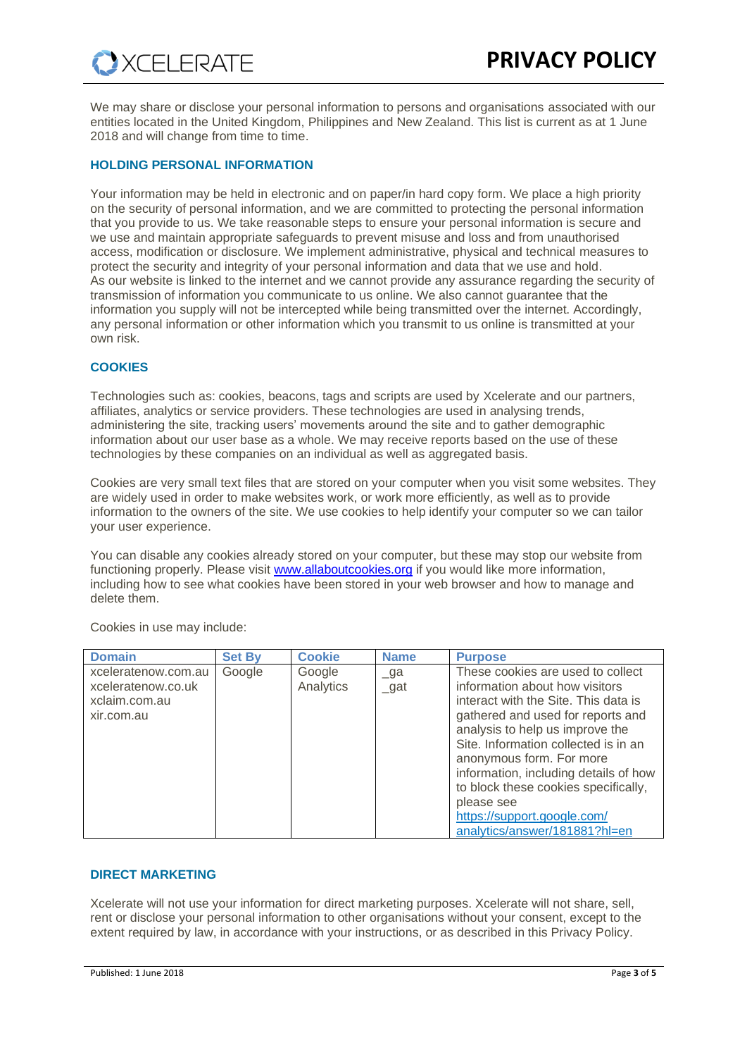We may share or disclose your personal information to persons and organisations associated with our entities located in the United Kingdom, Philippines and New Zealand. This list is current as at 1 June 2018 and will change from time to time.

# **HOLDING PERSONAL INFORMATION**

Your information may be held in electronic and on paper/in hard copy form. We place a high priority on the security of personal information, and we are committed to protecting the personal information that you provide to us. We take reasonable steps to ensure your personal information is secure and we use and maintain appropriate safeguards to prevent misuse and loss and from unauthorised access, modification or disclosure. We implement administrative, physical and technical measures to protect the security and integrity of your personal information and data that we use and hold. As our website is linked to the internet and we cannot provide any assurance regarding the security of transmission of information you communicate to us online. We also cannot guarantee that the information you supply will not be intercepted while being transmitted over the internet. Accordingly, any personal information or other information which you transmit to us online is transmitted at your own risk.

# **COOKIES**

Technologies such as: cookies, beacons, tags and scripts are used by Xcelerate and our partners, affiliates, analytics or service providers. These technologies are used in analysing trends, administering the site, tracking users' movements around the site and to gather demographic information about our user base as a whole. We may receive reports based on the use of these technologies by these companies on an individual as well as aggregated basis.

Cookies are very small text files that are stored on your computer when you visit some websites. They are widely used in order to make websites work, or work more efficiently, as well as to provide information to the owners of the site. We use cookies to help identify your computer so we can tailor your user experience.

You can disable any cookies already stored on your computer, but these may stop our website from functioning properly. Please visit [www.allaboutcookies.org](http://www.allaboutcookies.org/) if you would like more information, including how to see what cookies have been stored in your web browser and how to manage and delete them.

| <b>Domain</b>                                                            | <b>Set By</b> | <b>Cookie</b>       | <b>Name</b>          | <b>Purpose</b>                                                                                                                                                                                                                                                                                                                                                                                                         |
|--------------------------------------------------------------------------|---------------|---------------------|----------------------|------------------------------------------------------------------------------------------------------------------------------------------------------------------------------------------------------------------------------------------------------------------------------------------------------------------------------------------------------------------------------------------------------------------------|
| xceleratenow.com.au<br>xceleratenow.co.uk<br>xclaim.com.au<br>xir.com.au | Google        | Google<br>Analytics | $\Box$ ga<br>$\_gat$ | These cookies are used to collect<br>information about how visitors<br>interact with the Site. This data is<br>gathered and used for reports and<br>analysis to help us improve the<br>Site. Information collected is in an<br>anonymous form. For more<br>information, including details of how<br>to block these cookies specifically,<br>please see<br>https://support.google.com/<br>analytics/answer/181881?hl=en |

Cookies in use may include:

# **DIRECT MARKETING**

Xcelerate will not use your information for direct marketing purposes. Xcelerate will not share, sell, rent or disclose your personal information to other organisations without your consent, except to the extent required by law, in accordance with your instructions, or as described in this Privacy Policy.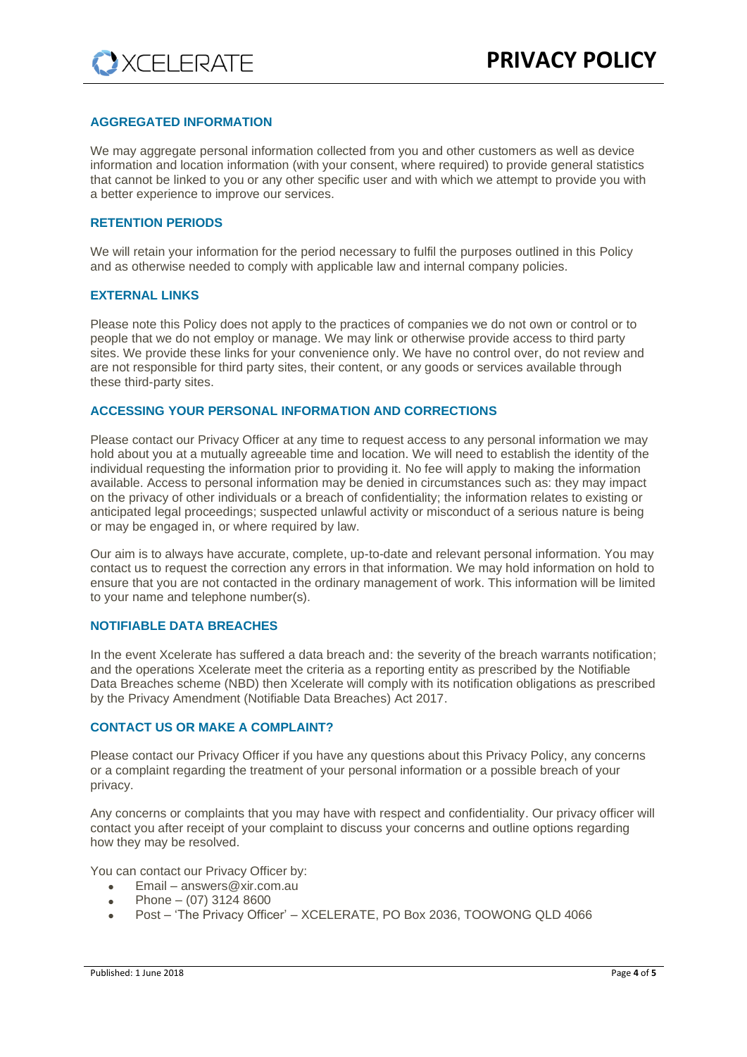# **AGGREGATED INFORMATION**

We may aggregate personal information collected from you and other customers as well as device information and location information (with your consent, where required) to provide general statistics that cannot be linked to you or any other specific user and with which we attempt to provide you with a better experience to improve our services.

### **RETENTION PERIODS**

We will retain your information for the period necessary to fulfil the purposes outlined in this Policy and as otherwise needed to comply with applicable law and internal company policies.

#### **EXTERNAL LINKS**

Please note this Policy does not apply to the practices of companies we do not own or control or to people that we do not employ or manage. We may link or otherwise provide access to third party sites. We provide these links for your convenience only. We have no control over, do not review and are not responsible for third party sites, their content, or any goods or services available through these third-party sites.

#### **ACCESSING YOUR PERSONAL INFORMATION AND CORRECTIONS**

Please contact our Privacy Officer at any time to request access to any personal information we may hold about you at a mutually agreeable time and location. We will need to establish the identity of the individual requesting the information prior to providing it. No fee will apply to making the information available. Access to personal information may be denied in circumstances such as: they may impact on the privacy of other individuals or a breach of confidentiality; the information relates to existing or anticipated legal proceedings; suspected unlawful activity or misconduct of a serious nature is being or may be engaged in, or where required by law.

Our aim is to always have accurate, complete, up-to-date and relevant personal information. You may contact us to request the correction any errors in that information. We may hold information on hold to ensure that you are not contacted in the ordinary management of work. This information will be limited to your name and telephone number(s).

## **NOTIFIABLE DATA BREACHES**

In the event Xcelerate has suffered a data breach and: the severity of the breach warrants notification; and the operations Xcelerate meet the criteria as a reporting entity as prescribed by the Notifiable Data Breaches scheme (NBD) then Xcelerate will comply with its notification obligations as prescribed by the Privacy Amendment (Notifiable Data Breaches) Act 2017.

#### **CONTACT US OR MAKE A COMPLAINT?**

Please contact our Privacy Officer if you have any questions about this Privacy Policy, any concerns or a complaint regarding the treatment of your personal information or a possible breach of your privacy.

Any concerns or complaints that you may have with respect and confidentiality. Our privacy officer will contact you after receipt of your complaint to discuss your concerns and outline options regarding how they may be resolved.

You can contact our Privacy Officer by:

- Email answers@xir.com.au
- Phone  $(07)$  3124 8600
- Post 'The Privacy Officer' XCELERATE, PO Box 2036, TOOWONG QLD 4066